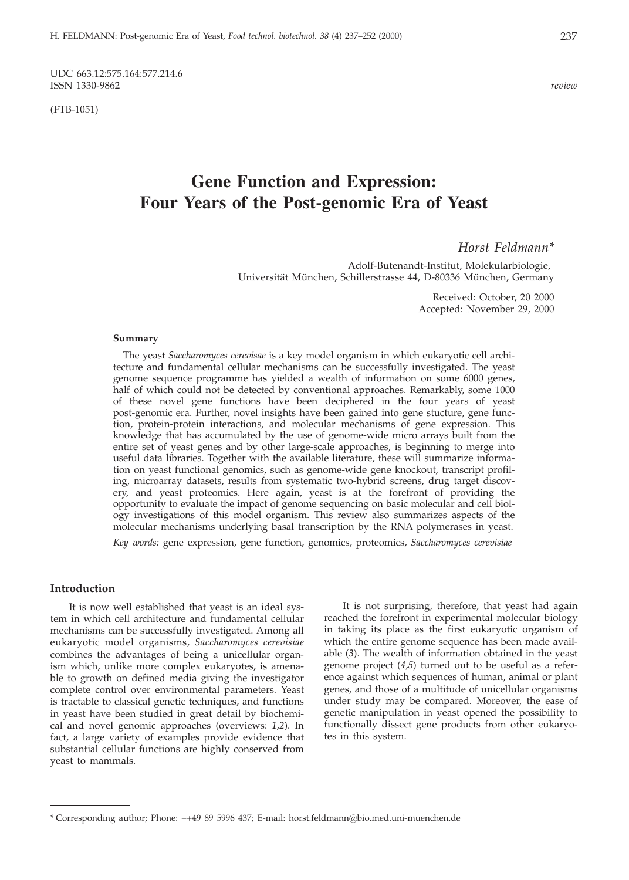UDC 663.12:575.164:577.214.6<br>ISSN 1330-9862 ISSN 1330-9862 *review*

(FTB-1051)

# **Gene Function and Expression: Four Years of the Post-genomic Era of Yeast**

# *Horst Feldmann\**

Adolf-Butenandt-Institut, Molekularbiologie, Universität München, Schillerstrasse 44, D-80336 München, Germany

> Received: October, 20 2000 Accepted: November 29, 2000

#### **Summary**

The yeast *Saccharomyces cerevisae* is a key model organism in which eukaryotic cell architecture and fundamental cellular mechanisms can be successfully investigated. The yeast genome sequence programme has yielded a wealth of information on some 6000 genes, half of which could not be detected by conventional approaches. Remarkably, some 1000 of these novel gene functions have been deciphered in the four years of yeast post-genomic era. Further, novel insights have been gained into gene stucture, gene function, protein-protein interactions, and molecular mechanisms of gene expression. This knowledge that has accumulated by the use of genome-wide micro arrays built from the entire set of yeast genes and by other large-scale approaches, is beginning to merge into useful data libraries. Together with the available literature, these will summarize information on yeast functional genomics, such as genome-wide gene knockout, transcript profiling, microarray datasets, results from systematic two-hybrid screens, drug target discovery, and yeast proteomics. Here again, yeast is at the forefront of providing the opportunity to evaluate the impact of genome sequencing on basic molecular and cell biology investigations of this model organism. This review also summarizes aspects of the molecular mechanisms underlying basal transcription by the RNA polymerases in yeast.

*Key words:* gene expression, gene function, genomics, proteomics, *Saccharomyces cerevisiae*

#### **Introduction**

It is now well established that yeast is an ideal system in which cell architecture and fundamental cellular mechanisms can be successfully investigated. Among all eukaryotic model organisms, *Saccharomyces cerevisiae* combines the advantages of being a unicellular organism which, unlike more complex eukaryotes, is amenable to growth on defined media giving the investigator complete control over environmental parameters. Yeast is tractable to classical genetic techniques, and functions in yeast have been studied in great detail by biochemical and novel genomic approaches (overviews: *1,2*). In fact, a large variety of examples provide evidence that substantial cellular functions are highly conserved from yeast to mammals.

It is not surprising, therefore, that yeast had again reached the forefront in experimental molecular biology in taking its place as the first eukaryotic organism of which the entire genome sequence has been made available (*3*). The wealth of information obtained in the yeast genome project (*4*,*5*) turned out to be useful as a reference against which sequences of human, animal or plant genes, and those of a multitude of unicellular organisms under study may be compared. Moreover, the ease of genetic manipulation in yeast opened the possibility to functionally dissect gene products from other eukaryotes in this system.

<sup>\*</sup> Corresponding author; Phone: ++49 89 5996 437; E-mail: horst.feldmann@bio.med.uni-muenchen.de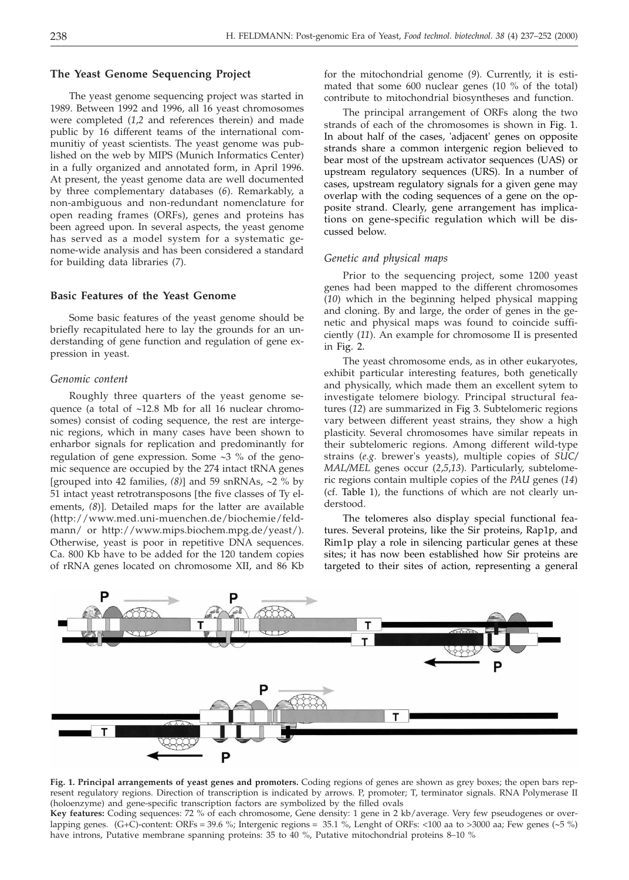# **The Yeast Genome Sequencing Project**

The yeast genome sequencing project was started in 1989. Between 1992 and 1996, all 16 yeast chromosomes were completed (*1*,*2* and references therein) and made public by 16 different teams of the international communitiy of yeast scientists. The yeast genome was published on the web by MIPS (Munich Informatics Center) in a fully organized and annotated form, in April 1996. At present, the yeast genome data are well documented by three complementary databases (*6*). Remarkably, a non-ambiguous and non-redundant nomenclature for open reading frames (ORFs), genes and proteins has been agreed upon. In several aspects, the yeast genome has served as a model system for a systematic genome-wide analysis and has been considered a standard for building data libraries (*7*).

#### **Basic Features of the Yeast Genome**

Some basic features of the yeast genome should be briefly recapitulated here to lay the grounds for an understanding of gene function and regulation of gene expression in yeast.

#### *Genomic content*

Roughly three quarters of the yeast genome sequence (a total of  $~12.8$  Mb for all 16 nuclear chromosomes) consist of coding sequence, the rest are intergenic regions, which in many cases have been shown to enharbor signals for replication and predominantly for regulation of gene expression. Some  $\sim$ 3 % of the genomic sequence are occupied by the 274 intact tRNA genes -grouped into 42 families, *(8)* and 59 snRNAs, 2 % by 51 intact yeast retrotransposons [the five classes of Ty elements, *(8*). Detailed maps for the latter are available (http://www.med.uni-muenchen.de/biochemie/feldmann/ or http://www.mips.biochem.mpg.de/yeast/). Otherwise, yeast is poor in repetitive DNA sequences. Ca. 800 Kb have to be added for the 120 tandem copies of rRNA genes located on chromosome XII, and 86 Kb

for the mitochondrial genome (*9*). Currently, it is estimated that some 600 nuclear genes (10 % of the total) contribute to mitochondrial biosyntheses and function.

The principal arrangement of ORFs along the two strands of each of the chromosomes is shown in Fig. 1. In about half of the cases, 'adjacent' genes on opposite strands share a common intergenic region believed to bear most of the upstream activator sequences (UAS) or upstream regulatory sequences (URS). In a number of cases, upstream regulatory signals for a given gene may overlap with the coding sequences of a gene on the opposite strand. Clearly, gene arrangement has implications on gene-specific regulation which will be discussed below.

#### *Genetic and physical maps*

Prior to the sequencing project, some 1200 yeast genes had been mapped to the different chromosomes (*10*) which in the beginning helped physical mapping and cloning. By and large, the order of genes in the genetic and physical maps was found to coincide sufficiently (*11*). An example for chromosome II is presented in Fig. 2.

The yeast chromosome ends, as in other eukaryotes, exhibit particular interesting features, both genetically and physically, which made them an excellent sytem to investigate telomere biology. Principal structural features (*12*) are summarized in Fig 3. Subtelomeric regions vary between different yeast strains, they show a high plasticity. Several chromosomes have similar repeats in their subtelomeric regions. Among different wild-type strains (*e.g.* brewer's yeasts), multiple copies of *SUC/ MAL/MEL* genes occur (*2*,*5*,*13*). Particularly, subtelomeric regions contain multiple copies of the *PAU* genes (*14*) (cf. Table 1), the functions of which are not clearly understood.

The telomeres also display special functional features. Several proteins, like the Sir proteins, Rap1p, and Rim1p play a role in silencing particular genes at these sites; it has now been established how Sir proteins are targeted to their sites of action, representing a general



**Fig. 1. Principal arrangements of yeast genes and promoters.** Coding regions of genes are shown as grey boxes; the open bars represent regulatory regions. Direction of transcription is indicated by arrows. P, promoter; T, terminator signals. RNA Polymerase II (holoenzyme) and gene-specific transcription factors are symbolized by the filled ovals

**Key features:** Coding sequences: 72 % of each chromosome, Gene density: 1 gene in 2 kb/average. Very few pseudogenes or overlapping genes. (G+C)-content: ORFs = 39.6 %; Intergenic regions = 35.1 %, Lenght of ORFs: <100 aa to >3000 aa; Few genes (~5 %) have introns, Putative membrane spanning proteins: 35 to 40 %, Putative mitochondrial proteins 8–10 %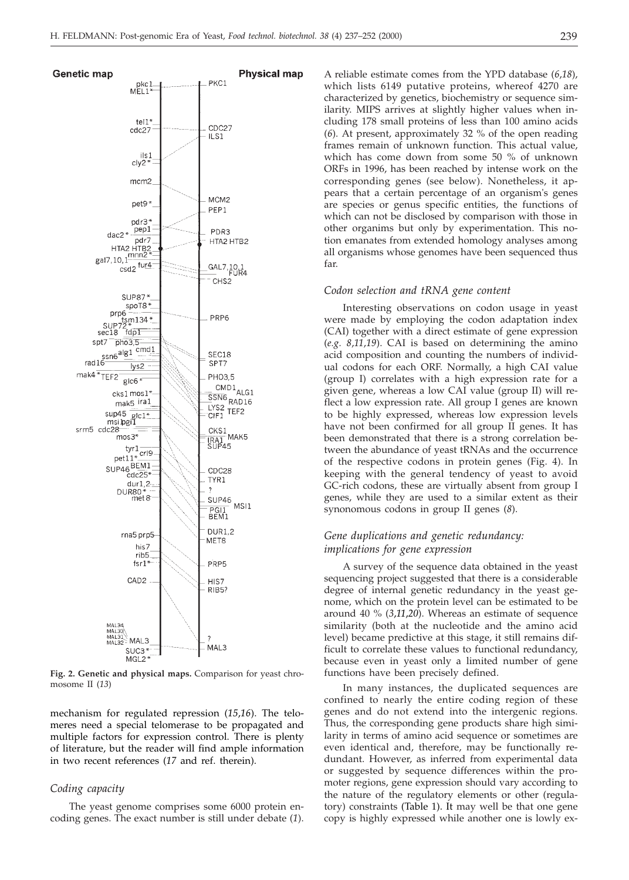

**Fig. 2. Genetic and physical maps.** Comparison for yeast chromosome II (*13*)

mechanism for regulated repression (*15*,*16*). The telomeres need a special telomerase to be propagated and multiple factors for expression control. There is plenty of literature, but the reader will find ample information in two recent references (*17* and ref. therein).

#### *Coding capacity*

The yeast genome comprises some 6000 protein encoding genes. The exact number is still under debate (*1*).

A reliable estimate comes from the YPD database (*6*,*18*), which lists 6149 putative proteins, whereof 4270 are characterized by genetics, biochemistry or sequence similarity. MIPS arrives at slightly higher values when including 178 small proteins of less than 100 amino acids (*6*). At present, approximately 32 % of the open reading frames remain of unknown function. This actual value, which has come down from some 50 % of unknown ORFs in 1996, has been reached by intense work on the corresponding genes (see below). Nonetheless, it appears that a certain percentage of an organism's genes are species or genus specific entities, the functions of which can not be disclosed by comparison with those in other organims but only by experimentation. This notion emanates from extended homology analyses among all organisms whose genomes have been sequenced thus far.

#### *Codon selection and tRNA gene content*

Interesting observations on codon usage in yeast were made by employing the codon adaptation index (CAI) together with a direct estimate of gene expression (*e.g. 8*,*11*,*19*). CAI is based on determining the amino acid composition and counting the numbers of individual codons for each ORF. Normally, a high CAI value (group I) correlates with a high expression rate for a given gene, whereas a low CAI value (group II) will reflect a low expression rate. All group I genes are known to be highly expressed, whereas low expression levels have not been confirmed for all group II genes. It has been demonstrated that there is a strong correlation between the abundance of yeast tRNAs and the occurrence of the respective codons in protein genes (Fig. 4). In keeping with the general tendency of yeast to avoid GC-rich codons, these are virtually absent from group I genes, while they are used to a similar extent as their synonomous codons in group II genes (*8*).

# *Gene duplications and genetic redundancy: implications for gene expression*

A survey of the sequence data obtained in the yeast sequencing project suggested that there is a considerable degree of internal genetic redundancy in the yeast genome, which on the protein level can be estimated to be around 40 % (*3*,*11*,*20*). Whereas an estimate of sequence similarity (both at the nucleotide and the amino acid level) became predictive at this stage, it still remains difficult to correlate these values to functional redundancy, because even in yeast only a limited number of gene functions have been precisely defined.

In many instances, the duplicated sequences are confined to nearly the entire coding region of these genes and do not extend into the intergenic regions. Thus, the corresponding gene products share high similarity in terms of amino acid sequence or sometimes are even identical and, therefore, may be functionally redundant. However, as inferred from experimental data or suggested by sequence differences within the promoter regions, gene expression should vary according to the nature of the regulatory elements or other (regulatory) constraints (Table 1). It may well be that one gene copy is highly expressed while another one is lowly ex-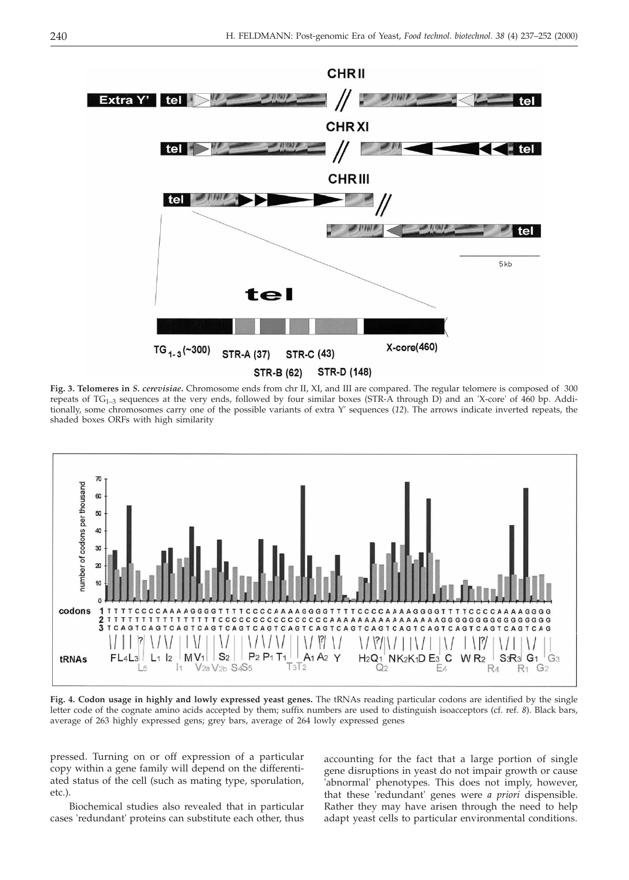

**Fig. 3. Telomeres in** *S. cerevisiae***.** Chromosome ends from chr II, XI, and III are compared. The regular telomere is composed of 300 repeats of  $TG_{1-3}$  sequences at the very ends, followed by four similar boxes (STR-A through D) and an 'X-core' of 460 bp. Additionally, some chromosomes carry one of the possible variants of extra Y' sequences (*12*). The arrows indicate inverted repeats, the shaded boxes ORFs with high similarity



**Fig. 4. Codon usage in highly and lowly expressed yeast genes.** The tRNAs reading particular codons are identified by the single letter code of the cognate amino acids accepted by them; suffix numbers are used to distinguish isoacceptors (cf. ref. *8*). Black bars, average of 263 highly expressed gens; grey bars, average of 264 lowly expressed genes

pressed. Turning on or off expression of a particular copy within a gene family will depend on the differentiated status of the cell (such as mating type, sporulation, etc.).

Biochemical studies also revealed that in particular cases 'redundant' proteins can substitute each other, thus

accounting for the fact that a large portion of single gene disruptions in yeast do not impair growth or cause 'abnormal' phenotypes. This does not imply, however, that these 'redundant' genes were *a priori* dispensible. Rather they may have arisen through the need to help adapt yeast cells to particular environmental conditions.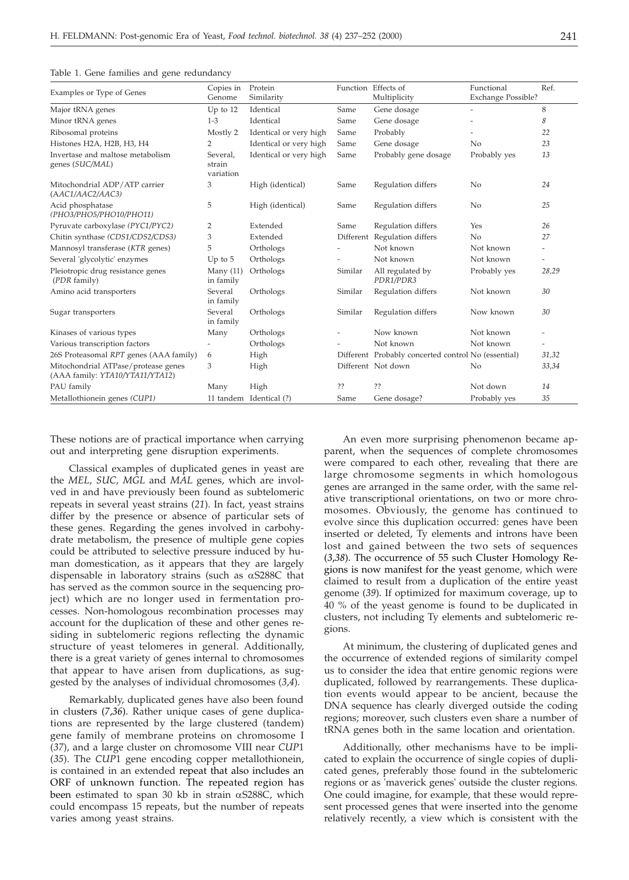|                                                                        | Copies in                       | Protein                 |         | Function Effects of                                 | Functional         | Ref.                     |
|------------------------------------------------------------------------|---------------------------------|-------------------------|---------|-----------------------------------------------------|--------------------|--------------------------|
| Examples or Type of Genes                                              | Genome                          | Similarity              |         | Multiplicity                                        | Exchange Possible? |                          |
| Major tRNA genes                                                       | Up to 12                        | Identical               | Same    | Gene dosage                                         |                    | 8                        |
| Minor tRNA genes                                                       | $1-3$                           | Identical               | Same    | Gene dosage                                         |                    | 8                        |
| Ribosomal proteins                                                     | Mostly 2                        | Identical or very high  | Same    | Probably                                            |                    | 22                       |
| Histones H2A, H2B, H3, H4                                              | 2                               | Identical or very high  | Same    | Gene dosage                                         | N <sub>0</sub>     | 23                       |
| Invertase and maltose metabolism<br>genes (SUC/MAL)                    | Several.<br>strain<br>variation | Identical or very high  | Same    | Probably gene dosage                                | Probably yes       | 13                       |
| Mitochondrial ADP/ATP carrier<br>(AAC1/AAC2/AAC3)                      | 3                               | High (identical)        | Same    | Regulation differs                                  | No                 | 24                       |
| Acid phosphatase<br>(PHO3/PHO5/PHO10/PHO11)                            | 5                               | High (identical)        | Same    | Regulation differs                                  | N <sub>0</sub>     | 25                       |
| Pyruvate carboxylase (PYC1/PYC2)                                       | 2                               | Extended                | Same    | Regulation differs                                  | Yes                | 26                       |
| Chitin synthase (CDS1/CDS2/CDS3)                                       | 3                               | Extended                |         | Different Regulation differs                        | N <sub>0</sub>     | 27                       |
| Mannosyl transferase (KTR genes)                                       | 5                               | Orthologs               |         | Not known                                           | Not known          | $\overline{\phantom{0}}$ |
| Several 'glycolytic' enzymes                                           | Up to $5$                       | Orthologs               |         | Not known                                           | Not known          | $\overline{a}$           |
| Pleiotropic drug resistance genes<br>(PDR family)                      | Many $(11)$<br>in family        | Orthologs               | Similar | All regulated by<br>PDR1/PDR3                       | Probably yes       | 28,29                    |
| Amino acid transporters                                                | Several<br>in family            | Orthologs               | Similar | Regulation differs                                  | Not known          | 30                       |
| Sugar transporters                                                     | Several<br>in family            | Orthologs               | Similar | Regulation differs                                  | Now known          | 30                       |
| Kinases of various types                                               | Many                            | Orthologs               |         | Now known                                           | Not known          |                          |
| Various transcription factors                                          |                                 | Orthologs               |         | Not known                                           | Not known          |                          |
| 26S Proteasomal RPT genes (AAA family)                                 | 6                               | High                    |         | Different Probably concerted control No (essential) |                    | 31,32                    |
| Mitochondrial ATPase/protease genes<br>(AAA family: YTA10/YTA11/YTA12) | 3                               | High                    |         | Different Not down                                  | No                 | 33,34                    |
| PAU family                                                             | Many                            | High                    | ??      | ??                                                  | Not down           | 14                       |
| Metallothionein genes (CUP1)                                           |                                 | 11 tandem Identical (?) | Same    | Gene dosage?                                        | Probably yes       | 35                       |

Table 1. Gene families and gene redundancy

These notions are of practical importance when carrying out and interpreting gene disruption experiments.

Classical examples of duplicated genes in yeast are the *MEL*, *SUC, MGL* and *MAL* genes, which are involved in and have previously been found as subtelomeric repeats in several yeast strains (*21*). In fact, yeast strains differ by the presence or absence of particular sets of these genes. Regarding the genes involved in carbohydrate metabolism, the presence of multiple gene copies could be attributed to selective pressure induced by human domestication, as it appears that they are largely dispensable in laboratory strains (such as  $\alpha$ S288C that has served as the common source in the sequencing project) which are no longer used in fermentation processes. Non-homologous recombination processes may account for the duplication of these and other genes residing in subtelomeric regions reflecting the dynamic structure of yeast telomeres in general. Additionally, there is a great variety of genes internal to chromosomes that appear to have arisen from duplications, as suggested by the analyses of individual chromosomes (*3*,*4*).

Remarkably, duplicated genes have also been found in clusters (*7*,*36*). Rather unique cases of gene duplications are represented by the large clustered (tandem) gene family of membrane proteins on chromosome I (*37*), and a large cluster on chromosome VIII near *CUP*1 (*35*). The *CUP*1 gene encoding copper metallothionein, is contained in an extended repeat that also includes an ORF of unknown function. The repeated region has been estimated to span 30 kb in strain  $\alpha$ S288C, which could encompass 15 repeats, but the number of repeats varies among yeast strains.

An even more surprising phenomenon became apparent, when the sequences of complete chromosomes were compared to each other, revealing that there are large chromosome segments in which homologous genes are arranged in the same order, with the same relative transcriptional orientations, on two or more chromosomes. Obviously, the genome has continued to evolve since this duplication occurred: genes have been inserted or deleted, Ty elements and introns have been lost and gained between the two sets of sequences (*3*,*38*). The occurrence of 55 such Cluster Homology Regions is now manifest for the yeast genome, which were claimed to result from a duplication of the entire yeast genome (*39*). If optimized for maximum coverage, up to 40 % of the yeast genome is found to be duplicated in clusters, not including Ty elements and subtelomeric regions.

At minimum, the clustering of duplicated genes and the occurrence of extended regions of similarity compel us to consider the idea that entire genomic regions were duplicated, followed by rearrangements. These duplication events would appear to be ancient, because the DNA sequence has clearly diverged outside the coding regions; moreover, such clusters even share a number of tRNA genes both in the same location and orientation.

Additionally, other mechanisms have to be implicated to explain the occurrence of single copies of duplicated genes, preferably those found in the subtelomeric regions or as 'maverick genes' outside the cluster regions. One could imagine, for example, that these would represent processed genes that were inserted into the genome relatively recently, a view which is consistent with the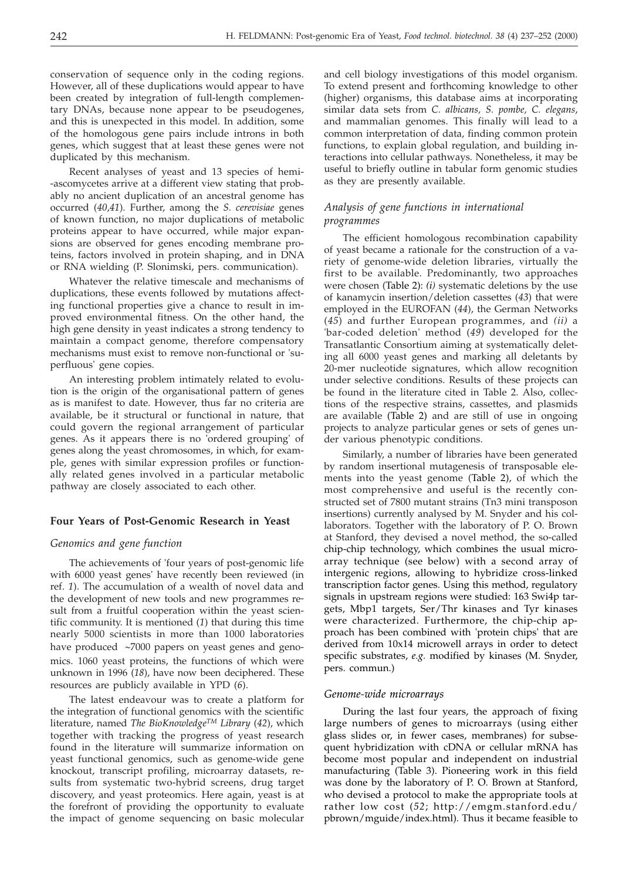conservation of sequence only in the coding regions. However, all of these duplications would appear to have been created by integration of full-length complementary DNAs, because none appear to be pseudogenes, and this is unexpected in this model. In addition, some of the homologous gene pairs include introns in both genes, which suggest that at least these genes were not duplicated by this mechanism.

Recent analyses of yeast and 13 species of hemi- -ascomycetes arrive at a different view stating that probably no ancient duplication of an ancestral genome has occurred (*40*,*41*). Further, among the *S. cerevisiae* genes of known function, no major duplications of metabolic proteins appear to have occurred, while major expansions are observed for genes encoding membrane proteins, factors involved in protein shaping, and in DNA or RNA wielding (P. Slonimski, pers. communication).

Whatever the relative timescale and mechanisms of duplications, these events followed by mutations affecting functional properties give a chance to result in improved environmental fitness. On the other hand, the high gene density in yeast indicates a strong tendency to maintain a compact genome, therefore compensatory mechanisms must exist to remove non-functional or 'superfluous' gene copies.

An interesting problem intimately related to evolution is the origin of the organisational pattern of genes as is manifest to date. However, thus far no criteria are available, be it structural or functional in nature, that could govern the regional arrangement of particular genes. As it appears there is no 'ordered grouping' of genes along the yeast chromosomes, in which, for example, genes with similar expression profiles or functionally related genes involved in a particular metabolic pathway are closely associated to each other.

#### **Four Years of Post-Genomic Research in Yeast**

#### *Genomics and gene function*

The achievements of 'four years of post-genomic life with 6000 yeast genes' have recently been reviewed (in ref. *1*). The accumulation of a wealth of novel data and the development of new tools and new programmes result from a fruitful cooperation within the yeast scientific community. It is mentioned (*1*) that during this time nearly 5000 scientists in more than 1000 laboratories have produced  $~\sim$ 7000 papers on yeast genes and genomics. 1060 yeast proteins, the functions of which were unknown in 1996 (*18*), have now been deciphered. These resources are publicly available in YPD (*6*).

The latest endeavour was to create a platform for the integration of functional genomics with the scientific literature, named *The BioKnowledgeTM Library* (*42*), which together with tracking the progress of yeast research found in the literature will summarize information on yeast functional genomics, such as genome-wide gene knockout, transcript profiling, microarray datasets, results from systematic two-hybrid screens, drug target discovery, and yeast proteomics. Here again, yeast is at the forefront of providing the opportunity to evaluate the impact of genome sequencing on basic molecular

and cell biology investigations of this model organism. To extend present and forthcoming knowledge to other (higher) organisms, this database aims at incorporating similar data sets from *C. albicans, S. pombe, C. elegans*, and mammalian genomes. This finally will lead to a common interpretation of data, finding common protein functions, to explain global regulation, and building interactions into cellular pathways. Nonetheless, it may be useful to briefly outline in tabular form genomic studies as they are presently available.

### *Analysis of gene functions in international programmes*

The efficient homologous recombination capability of yeast became a rationale for the construction of a variety of genome-wide deletion libraries, virtually the first to be available. Predominantly, two approaches were chosen (Table 2): *(i)* systematic deletions by the use of kanamycin insertion/deletion cassettes (*43*) that were employed in the EUROFAN (*44*), the German Networks (*45*) and further European programmes, and *(ii)* a 'bar-coded deletion' method (*49*) developed for the Transatlantic Consortium aiming at systematically deleting all 6000 yeast genes and marking all deletants by 20-mer nucleotide signatures, which allow recognition under selective conditions. Results of these projects can be found in the literature cited in Table 2. Also, collections of the respective strains, cassettes, and plasmids are available (Table 2) and are still of use in ongoing projects to analyze particular genes or sets of genes under various phenotypic conditions.

Similarly, a number of libraries have been generated by random insertional mutagenesis of transposable elements into the yeast genome (Table 2), of which the most comprehensive and useful is the recently constructed set of 7800 mutant strains (Tn3 mini transposon insertions) currently analysed by M. Snyder and his collaborators. Together with the laboratory of P. O. Brown at Stanford, they devised a novel method, the so-called chip-chip technology, which combines the usual microarray technique (see below) with a second array of intergenic regions, allowing to hybridize cross-linked transcription factor genes. Using this method, regulatory signals in upstream regions were studied: 163 Swi4p targets, Mbp1 targets, Ser/Thr kinases and Tyr kinases were characterized. Furthermore, the chip-chip approach has been combined with 'protein chips' that are derived from 10x14 microwell arrays in order to detect specific substrates, *e.g.* modified by kinases (M. Snyder, pers. commun.)

#### *Genome-wide microarrays*

During the last four years, the approach of fixing large numbers of genes to microarrays (using either glass slides or, in fewer cases, membranes) for subsequent hybridization with cDNA or cellular mRNA has become most popular and independent on industrial manufacturing (Table 3). Pioneering work in this field was done by the laboratory of P. O. Brown at Stanford, who devised a protocol to make the appropriate tools at rather low cost (*52*; http://emgm.stanford.edu/ pbrown/mguide/index.html). Thus it became feasible to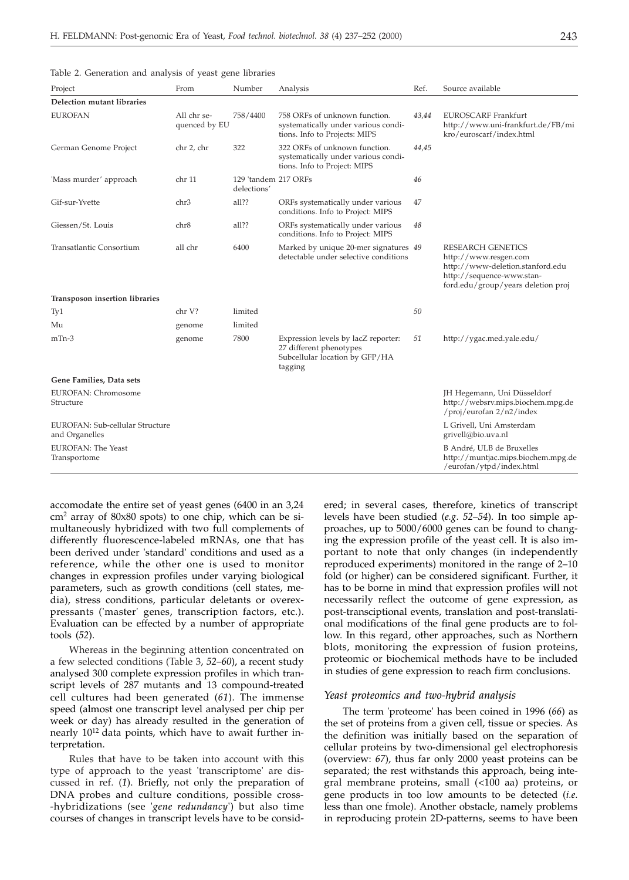|  | Table 2. Generation and analysis of yeast gene libraries |  |  |  |  |  |  |
|--|----------------------------------------------------------|--|--|--|--|--|--|
|--|----------------------------------------------------------|--|--|--|--|--|--|

| Project                                           | From                         | Number                              | Analysis                                                                                                    | Ref.  | Source available                                                                                                                                         |
|---------------------------------------------------|------------------------------|-------------------------------------|-------------------------------------------------------------------------------------------------------------|-------|----------------------------------------------------------------------------------------------------------------------------------------------------------|
| Delection mutant libraries                        |                              |                                     |                                                                                                             |       |                                                                                                                                                          |
| <b>EUROFAN</b>                                    | All chr se-<br>quenced by EU | 758/4400                            | 758 ORFs of unknown function.<br>systematically under various condi-<br>tions. Info to Projects: MIPS       | 43,44 | <b>EUROSCARF Frankfurt</b><br>http://www.uni-frankfurt.de/FB/mi<br>kro/euroscarf/index.html                                                              |
| German Genome Project                             | chr 2, chr                   | 322                                 | 322 ORFs of unknown function.<br>systematically under various condi-<br>tions. Info to Project: MIPS        | 44,45 |                                                                                                                                                          |
| 'Mass murder' approach                            | chr 11                       | 129 'tandem 217 ORFs<br>delections' |                                                                                                             | 46    |                                                                                                                                                          |
| Gif-sur-Yvette                                    | chr3                         | all??                               | ORFs systematically under various<br>conditions. Info to Project: MIPS                                      | 47    |                                                                                                                                                          |
| Giessen/St. Louis                                 | chr8                         | all??                               | ORFs systematically under various<br>conditions. Info to Project: MIPS                                      | 48    |                                                                                                                                                          |
| Transatlantic Consortium                          | all chr                      | 6400                                | Marked by unique 20-mer signatures 49<br>detectable under selective conditions                              |       | <b>RESEARCH GENETICS</b><br>http://www.resgen.com<br>http://www-deletion.stanford.edu<br>http://sequence-www.stan-<br>ford.edu/group/years deletion proj |
| Transposon insertion libraries                    |                              |                                     |                                                                                                             |       |                                                                                                                                                          |
| Ty1                                               | chr V?                       | limited                             |                                                                                                             | 50    |                                                                                                                                                          |
| Mu                                                | genome                       | limited                             |                                                                                                             |       |                                                                                                                                                          |
| $mTn-3$                                           | genome                       | 7800                                | Expression levels by lacZ reporter:<br>27 different phenotypes<br>Subcellular location by GFP/HA<br>tagging | 51    | http://ygac.med.yale.edu/                                                                                                                                |
| Gene Families, Data sets                          |                              |                                     |                                                                                                             |       |                                                                                                                                                          |
| EUROFAN: Chromosome<br>Structure                  |                              |                                     |                                                                                                             |       | JH Hegemann, Uni Düsseldorf<br>http://websrv.mips.biochem.mpg.de<br>/proj/eurofan 2/n2/index                                                             |
| EUROFAN: Sub-cellular Structure<br>and Organelles |                              |                                     |                                                                                                             |       | L Grivell. Uni Amsterdam<br>grivell@bio.uva.nl                                                                                                           |
| EUROFAN: The Yeast<br>Transportome                |                              |                                     |                                                                                                             |       | B André, ULB de Bruxelles<br>http://muntjac.mips.biochem.mpg.de<br>/eurofan/ytpd/index.html                                                              |

accomodate the entire set of yeast genes (6400 in an 3,24 cm2 array of 80x80 spots) to one chip, which can be simultaneously hybridized with two full complements of differently fluorescence-labeled mRNAs, one that has been derived under 'standard' conditions and used as a reference, while the other one is used to monitor changes in expression profiles under varying biological parameters, such as growth conditions (cell states, media), stress conditions, particular deletants or overexpressants ('master' genes, transcription factors, etc.). Evaluation can be effected by a number of appropriate tools (*52*).

Whereas in the beginning attention concentrated on a few selected conditions (Table 3, *52*–*60*), a recent study analysed 300 complete expression profiles in which transcript levels of 287 mutants and 13 compound-treated cell cultures had been generated (*61*). The immense speed (almost one transcript level analysed per chip per week or day) has already resulted in the generation of nearly 10<sup>12</sup> data points, which have to await further interpretation.

Rules that have to be taken into account with this type of approach to the yeast 'transcriptome' are discussed in ref. (*1*). Briefly, not only the preparation of DNA probes and culture conditions, possible cross- -hybridizations (see '*gene redundancy*') but also time courses of changes in transcript levels have to be consid-

ered; in several cases, therefore, kinetics of transcript levels have been studied (*e.g*. *52*–*54*). In too simple approaches, up to 5000/6000 genes can be found to changing the expression profile of the yeast cell. It is also important to note that only changes (in independently reproduced experiments) monitored in the range of 2–10 fold (or higher) can be considered significant. Further, it has to be borne in mind that expression profiles will not necessarily reflect the outcome of gene expression, as post-transciptional events, translation and post-translational modifications of the final gene products are to follow. In this regard, other approaches, such as Northern blots, monitoring the expression of fusion proteins, proteomic or biochemical methods have to be included in studies of gene expression to reach firm conclusions.

#### *Yeast proteomics and two-hybrid analysis*

The term 'proteome' has been coined in 1996 (*66*) as the set of proteins from a given cell, tissue or species. As the definition was initially based on the separation of cellular proteins by two-dimensional gel electrophoresis (overview: *67*), thus far only 2000 yeast proteins can be separated; the rest withstands this approach, being integral membrane proteins, small (<100 aa) proteins, or gene products in too low amounts to be detected (*i.e*. less than one fmole). Another obstacle, namely problems in reproducing protein 2D-patterns, seems to have been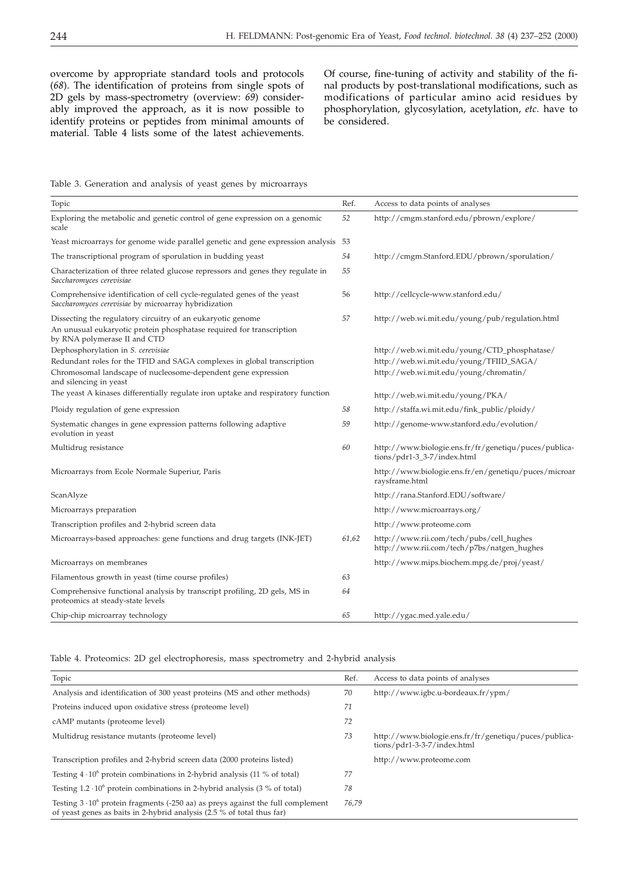overcome by appropriate standard tools and protocols (*68*). The identification of proteins from single spots of 2D gels by mass-spectrometry (overview: *69*) considerably improved the approach, as it is now possible to identify proteins or peptides from minimal amounts of material. Table 4 lists some of the latest achievements.

Of course, fine-tuning of activity and stability of the final products by post-translational modifications, such as modifications of particular amino acid residues by phosphorylation, glycosylation, acetylation, *etc*. have to be considered.

Table 3. Generation and analysis of yeast genes by microarrays

| Topic                                                                                                                                                               | Ref.  | Access to data points of analyses                                                       |
|---------------------------------------------------------------------------------------------------------------------------------------------------------------------|-------|-----------------------------------------------------------------------------------------|
| Exploring the metabolic and genetic control of gene expression on a genomic<br>scale                                                                                | 52    | http://cmgm.stanford.edu/pbrown/explore/                                                |
| Yeast microarrays for genome wide parallel genetic and gene expression analysis                                                                                     | 53    |                                                                                         |
| The transcriptional program of sporulation in budding yeast                                                                                                         | 54    | http://cmgm.Stanford.EDU/pbrown/sporulation/                                            |
| Characterization of three related glucose repressors and genes they regulate in<br>Saccharomyces cerevisiae                                                         | 55    |                                                                                         |
| Comprehensive identification of cell cycle-regulated genes of the yeast<br>Saccharomyces cerevisiae by microarray hybridization                                     | 56    | http://cellcycle-www.stanford.edu/                                                      |
| Dissecting the regulatory circuitry of an eukaryotic genome<br>An unusual eukaryotic protein phosphatase required for transcription<br>by RNA polymerase II and CTD | 57    | http://web.wi.mit.edu/young/pub/regulation.html                                         |
| Dephosphorylation in S. cerevisiae                                                                                                                                  |       | http://web.wi.mit.edu/young/CTD_phosphatase/<br>http://web.wi.mit.edu/young/TFIID_SAGA/ |
| Redundant roles for the TFID and SAGA complexes in global transcription<br>Chromosomal landscape of nucleosome-dependent gene expression<br>and silencing in yeast  |       | http://web.wi.mit.edu/young/chromatin/                                                  |
| The yeast A kinases differentially regulate iron uptake and respiratory function                                                                                    |       | http://web.wi.mit.edu/young/PKA/                                                        |
| Ploidy regulation of gene expression                                                                                                                                | 58    | http://staffa.wi.mit.edu/fink_public/ploidy/                                            |
| Systematic changes in gene expression patterns following adaptive<br>evolution in yeast                                                                             | 59    | http://genome-www.stanford.edu/evolution/                                               |
| Multidrug resistance                                                                                                                                                | 60    | http://www.biologie.ens.fr/fr/genetiqu/puces/publica-<br>tions/pdr1-3_3-7/index.html    |
| Microarrays from Ecole Normale Superiur, Paris                                                                                                                      |       | http://www.biologie.ens.fr/en/genetiqu/puces/microar<br>raysframe.html                  |
| ScanAlyze                                                                                                                                                           |       | http://rana.Stanford.EDU/software/                                                      |
| Microarrays preparation                                                                                                                                             |       | http://www.microarrays.org/                                                             |
| Transcription profiles and 2-hybrid screen data                                                                                                                     |       | http://www.proteome.com                                                                 |
| Microarrays-based approaches: gene functions and drug targets (INK-JET)                                                                                             | 61,62 | http://www.rii.com/tech/pubs/cell_hughes<br>http://www.rii.com/tech/p7bs/natgen_hughes  |
| Microarrays on membranes                                                                                                                                            |       | http://www.mips.biochem.mpg.de/proj/yeast/                                              |
| Filamentous growth in yeast (time course profiles)                                                                                                                  | 63    |                                                                                         |
| Comprehensive functional analysis by transcript profiling, 2D gels, MS in<br>proteomics at steady-state levels                                                      | 64    |                                                                                         |
| Chip-chip microarray technology                                                                                                                                     | 65    | http://ygac.med.yale.edu/                                                               |

Table 4. Proteomics: 2D gel electrophoresis, mass spectrometry and 2-hybrid analysis

| Topic                                                                                                                                                               | Ref.  | Access to data points of analyses                                                    |
|---------------------------------------------------------------------------------------------------------------------------------------------------------------------|-------|--------------------------------------------------------------------------------------|
| Analysis and identification of 300 yeast proteins (MS and other methods)                                                                                            | 70    | http://www.igbc.u-bordeaux.fr/ypm/                                                   |
| Proteins induced upon oxidative stress (proteome level)                                                                                                             | 71    |                                                                                      |
| cAMP mutants (proteome level)                                                                                                                                       | 72    |                                                                                      |
| Multidrug resistance mutants (proteome level)                                                                                                                       | 73    | http://www.biologie.ens.fr/fr/genetiqu/puces/publica-<br>tions/pdr1-3-3-7/index.html |
| Transcription profiles and 2-hybrid screen data (2000 proteins listed)                                                                                              |       | http://www.proteome.com                                                              |
| Testing $4 \cdot 10^6$ protein combinations in 2-hybrid analysis (11 % of total)                                                                                    | 77    |                                                                                      |
| Testing $1.2 \cdot 10^6$ protein combinations in 2-hybrid analysis (3 % of total)                                                                                   | 78    |                                                                                      |
| Testing $3 \cdot 10^6$ protein fragments (-250 aa) as preys against the full complement<br>of yeast genes as baits in 2-hybrid analysis $(2.5\%$ of total thus far) | 76.79 |                                                                                      |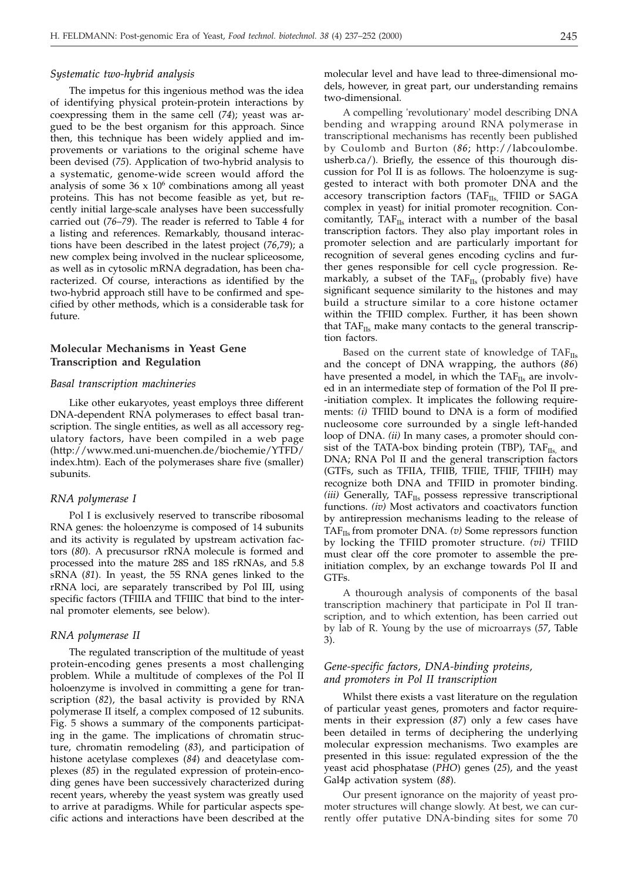#### *Systematic two-hybrid analysis*

The impetus for this ingenious method was the idea of identifying physical protein-protein interactions by coexpressing them in the same cell (*74*); yeast was argued to be the best organism for this approach. Since then, this technique has been widely applied and improvements or variations to the original scheme have been devised (*75*). Application of two-hybrid analysis to a systematic, genome-wide screen would afford the analysis of some  $36 \times 10^6$  combinations among all yeast proteins. This has not become feasible as yet, but recently initial large-scale analyses have been successfully carried out (*76*–*79*). The reader is referred to Table 4 for a listing and references. Remarkably, thousand interactions have been described in the latest project (*76*,*79*); a new complex being involved in the nuclear spliceosome, as well as in cytosolic mRNA degradation, has been characterized. Of course, interactions as identified by the two-hybrid approach still have to be confirmed and specified by other methods, which is a considerable task for future.

# **Molecular Mechanisms in Yeast Gene Transcription and Regulation**

#### *Basal transcription machineries*

Like other eukaryotes, yeast employs three different DNA-dependent RNA polymerases to effect basal transcription. The single entities, as well as all accessory regulatory factors, have been compiled in a web page (http://www.med.uni-muenchen.de/biochemie/YTFD/ index.htm). Each of the polymerases share five (smaller) subunits.

# *RNA polymerase I*

Pol I is exclusively reserved to transcribe ribosomal RNA genes: the holoenzyme is composed of 14 subunits and its activity is regulated by upstream activation factors (*80*). A precusursor rRNA molecule is formed and processed into the mature 28S and 18S rRNAs, and 5.8 sRNA (*81*). In yeast, the 5S RNA genes linked to the rRNA loci, are separately transcribed by Pol III, using specific factors (TFIIIA and TFIIIC that bind to the internal promoter elements, see below).

#### *RNA polymerase II*

The regulated transcription of the multitude of yeast protein-encoding genes presents a most challenging problem. While a multitude of complexes of the Pol II holoenzyme is involved in committing a gene for transcription (*82*), the basal activity is provided by RNA polymerase II itself, a complex composed of 12 subunits. Fig. 5 shows a summary of the components participating in the game. The implications of chromatin structure, chromatin remodeling (*83*), and participation of histone acetylase complexes (*84*) and deacetylase complexes (*85*) in the regulated expression of protein-encoding genes have been successively characterized during recent years, whereby the yeast system was greatly used to arrive at paradigms. While for particular aspects specific actions and interactions have been described at the molecular level and have lead to three-dimensional models, however, in great part, our understanding remains two-dimensional.

A compelling 'revolutionary' model describing DNA bending and wrapping around RNA polymerase in transcriptional mechanisms has recently been published by Coulomb and Burton (*86*; http://labcoulombe. usherb.ca/). Briefly, the essence of this thourough discussion for Pol II is as follows. The holoenzyme is suggested to interact with both promoter DNA and the accesory transcription factors (TAFIIs, TFIID or SAGA complex in yeast) for initial promoter recognition. Concomitantly,  $TAF_{IIs}$  interact with a number of the basal transcription factors. They also play important roles in promoter selection and are particularly important for recognition of several genes encoding cyclins and further genes responsible for cell cycle progression. Remarkably, a subset of the TAF $_{IIs}$  (probably five) have significant sequence similarity to the histones and may build a structure similar to a core histone octamer within the TFIID complex. Further, it has been shown that  $TAF<sub>IIs</sub>$  make many contacts to the general transcription factors.

Based on the current state of knowledge of  $TAF<sub>IIs</sub>$ and the concept of DNA wrapping, the authors (*86*) have presented a model, in which the  $TAF_{IIs}$  are involved in an intermediate step of formation of the Pol II pre- -initiation complex. It implicates the following requirements: *(i)* TFIID bound to DNA is a form of modified nucleosome core surrounded by a single left-handed loop of DNA. *(ii)* In many cases, a promoter should consist of the TATA-box binding protein (TBP),  $TAF_{IIs}$  and DNA; RNA Pol II and the general transcription factors (GTFs, such as TFIIA, TFIIB, TFIIE, TFIIF, TFIIH) may recognize both DNA and TFIID in promoter binding. *(iii)* Generally,  $TAF_{IIs}$  possess repressive transcriptional functions. *(iv)* Most activators and coactivators function by antirepression mechanisms leading to the release of TAFIIs from promoter DNA. *(v)* Some repressors function by locking the TFIID promoter structure. *(vi)* TFIID must clear off the core promoter to assemble the preinitiation complex, by an exchange towards Pol II and GTFs.

A thourough analysis of components of the basal transcription machinery that participate in Pol II transcription, and to which extention, has been carried out by lab of R. Young by the use of microarrays (*57*, Table 3).

# *Gene-specific factors, DNA-binding proteins, and promoters in Pol II transcription*

Whilst there exists a vast literature on the regulation of particular yeast genes, promoters and factor requirements in their expression (*87*) only a few cases have been detailed in terms of deciphering the underlying molecular expression mechanisms. Two examples are presented in this issue: regulated expression of the the yeast acid phosphatase (*PHO*) genes (*25*), and the yeast Gal4p activation system (*88*).

Our present ignorance on the majority of yeast promoter structures will change slowly. At best, we can currently offer putative DNA-binding sites for some 70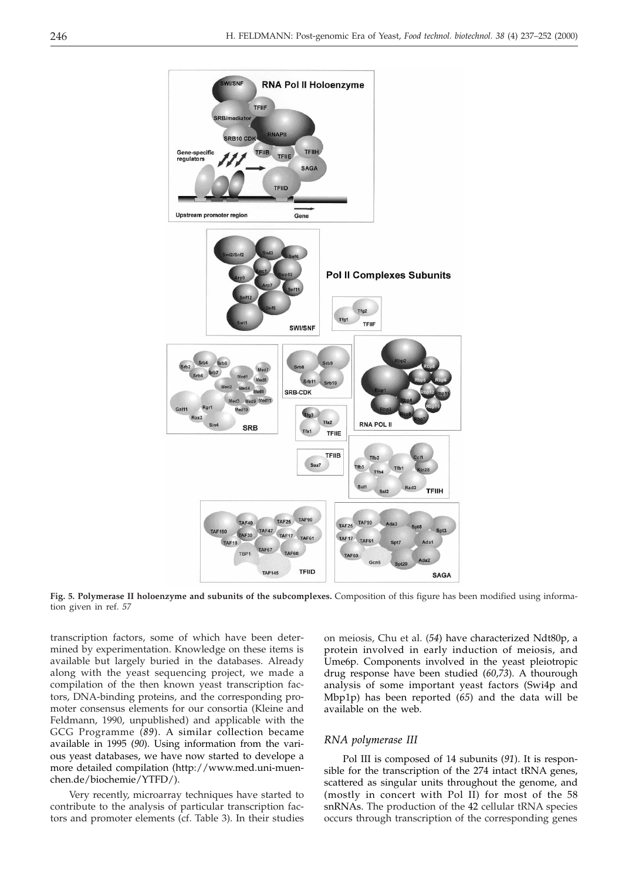

**Fig. 5. Polymerase II holoenzyme and subunits of the subcomplexes.** Composition of this figure has been modified using information given in ref. *57*

transcription factors, some of which have been determined by experimentation. Knowledge on these items is available but largely buried in the databases. Already along with the yeast sequencing project, we made a compilation of the then known yeast transcription factors, DNA-binding proteins, and the corresponding promoter consensus elements for our consortia (Kleine and Feldmann, 1990, unpublished) and applicable with the GCG Programme (*89*). A similar collection became available in 1995 (*90*). Using information from the various yeast databases, we have now started to develope a more detailed compilation (http://www.med.uni-muenchen.de/biochemie/YTFD/).

Very recently, microarray techniques have started to contribute to the analysis of particular transcription factors and promoter elements (cf. Table 3). In their studies

on meiosis, Chu et al. (*54*) have characterized Ndt80p, a protein involved in early induction of meiosis, and Ume6p. Components involved in the yeast pleiotropic drug response have been studied (*60*,*73*). A thourough analysis of some important yeast factors (Swi4p and Mbp1p) has been reported (*65*) and the data will be available on the web.

#### *RNA polymerase III*

Pol III is composed of 14 subunits (*91*). It is responsible for the transcription of the 274 intact tRNA genes, scattered as singular units throughout the genome, and (mostly in concert with Pol II) for most of the 58 snRNAs. The production of the 42 cellular tRNA species occurs through transcription of the corresponding genes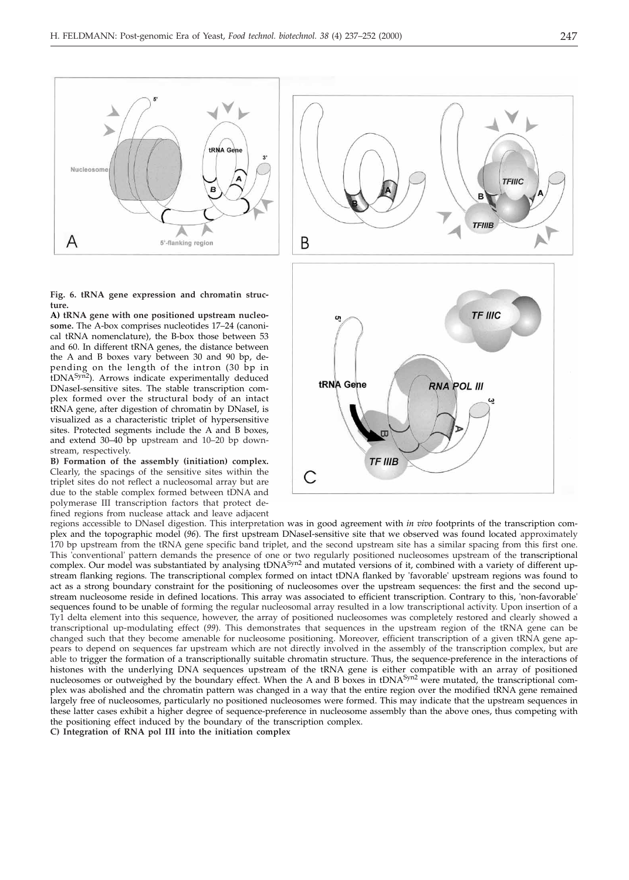

**Fig. 6. tRNA gene expression and chromatin structure.**

**A) tRNA gene with one positioned upstream nucleosome.** The A-box comprises nucleotides 17–24 (canonical tRNA nomenclature), the B-box those between 53 and 60. In different tRNA genes, the distance between the A and B boxes vary between 30 and 90 bp, depending on the length of the intron (30 bp in tDNA<sup>Syn2</sup>). Arrows indicate experimentally deduced DNaseI-sensitive sites. The stable transcription complex formed over the structural body of an intact tRNA gene, after digestion of chromatin by DNaseI, is visualized as a characteristic triplet of hypersensitive sites. Protected segments include the A and B boxes, and extend 30–40 bp upstream and 10–20 bp downstream, respectively.

**B) Formation of the assembly (initiation) complex.** Clearly, the spacings of the sensitive sites within the triplet sites do not reflect a nucleosomal array but are due to the stable complex formed between tDNA and polymerase III transcription factors that protect defined regions from nuclease attack and leave adjacent



regions accessible to DNaseI digestion. This interpretation was in good agreement with *in vivo* footprints of the transcription complex and the topographic model (*96*). The first upstream DNaseI-sensitive site that we observed was found located approximately 170 bp upstream from the tRNA gene specific band triplet, and the second upstream site has a similar spacing from this first one. This 'conventional' pattern demands the presence of one or two regularly positioned nucleosomes upstream of the transcriptional complex. Our model was substantiated by analysing tDNA<sup>Syn2</sup> and mutated versions of it, combined with a variety of different upstream flanking regions. The transcriptional complex formed on intact tDNA flanked by 'favorable' upstream regions was found to act as a strong boundary constraint for the positioning of nucleosomes over the upstream sequences: the first and the second upstream nucleosome reside in defined locations. This array was associated to efficient transcription. Contrary to this, 'non-favorable' sequences found to be unable of forming the regular nucleosomal array resulted in a low transcriptional activity. Upon insertion of a Ty1 delta element into this sequence, however, the array of positioned nucleosomes was completely restored and clearly showed a transcriptional up-modulating effect (*99*). This demonstrates that sequences in the upstream region of the tRNA gene can be changed such that they become amenable for nucleosome positioning. Moreover, efficient transcription of a given tRNA gene appears to depend on sequences far upstream which are not directly involved in the assembly of the transcription complex, but are able to trigger the formation of a transcriptionally suitable chromatin structure. Thus, the sequence-preference in the interactions of histones with the underlying DNA sequences upstream of the tRNA gene is either compatible with an array of positioned nucleosomes or outweighed by the boundary effect. When the A and B boxes in tDNA<sup>Syn2</sup> were mutated, the transcriptional complex was abolished and the chromatin pattern was changed in a way that the entire region over the modified tRNA gene remained largely free of nucleosomes, particularly no positioned nucleosomes were formed. This may indicate that the upstream sequences in these latter cases exhibit a higher degree of sequence-preference in nucleosome assembly than the above ones, thus competing with the positioning effect induced by the boundary of the transcription complex.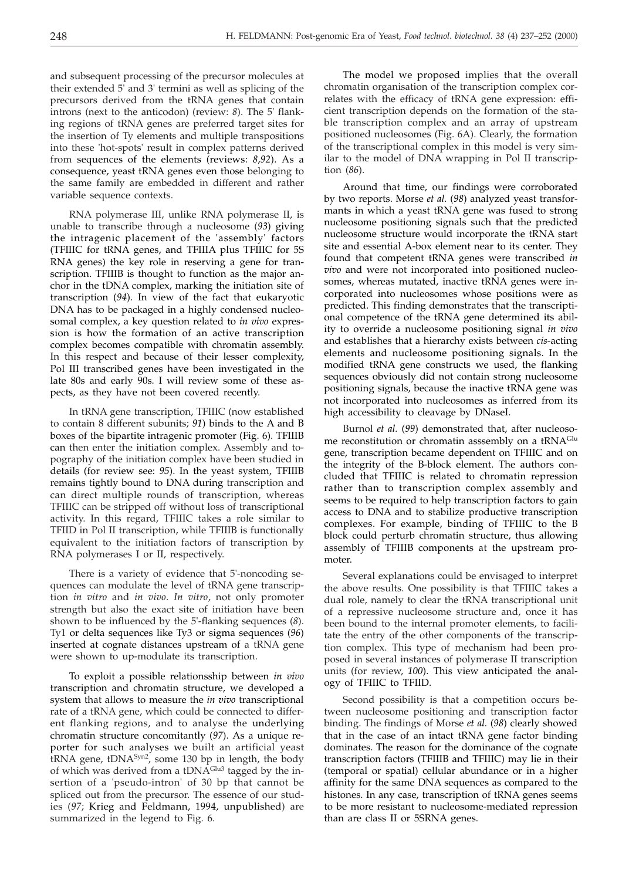and subsequent processing of the precursor molecules at their extended 5' and 3' termini as well as splicing of the precursors derived from the tRNA genes that contain introns (next to the anticodon) (review: *8*). The 5' flanking regions of tRNA genes are preferred target sites for the insertion of Ty elements and multiple transpositions into these 'hot-spots' result in complex patterns derived from sequences of the elements (reviews: *8*,*92*). As a consequence, yeast tRNA genes even those belonging to the same family are embedded in different and rather variable sequence contexts.

RNA polymerase III, unlike RNA polymerase II, is unable to transcribe through a nucleosome (*93*) giving the intragenic placement of the 'assembly' factors (TFIIIC for tRNA genes, and TFIIIA plus TFIIIC for 5S RNA genes) the key role in reserving a gene for transcription. TFIIIB is thought to function as the major anchor in the tDNA complex, marking the initiation site of transcription (*94*). In view of the fact that eukaryotic DNA has to be packaged in a highly condensed nucleosomal complex, a key question related to *in vivo* expression is how the formation of an active transcription complex becomes compatible with chromatin assembly. In this respect and because of their lesser complexity, Pol III transcribed genes have been investigated in the late 80s and early 90s. I will review some of these aspects, as they have not been covered recently.

In tRNA gene transcription, TFIIIC (now established to contain 8 different subunits; *91*) binds to the A and B boxes of the bipartite intragenic promoter (Fig. 6). TFIIIB can then enter the initiation complex. Assembly and topography of the initiation complex have been studied in details (for review see: *95*). In the yeast system, TFIIIB remains tightly bound to DNA during transcription and can direct multiple rounds of transcription, whereas TFIIIC can be stripped off without loss of transcriptional activity. In this regard, TFIIIC takes a role similar to TFIID in Pol II transcription, while TFIIIB is functionally equivalent to the initiation factors of transcription by RNA polymerases I or II, respectively.

There is a variety of evidence that 5'-noncoding sequences can modulate the level of tRNA gene transcription *in vitro* and *in vivo*. *In vitro*, not only promoter strength but also the exact site of initiation have been shown to be influenced by the 5'-flanking sequences (*8*). Ty1 or delta sequences like Ty3 or sigma sequences (*96*) inserted at cognate distances upstream of a tRNA gene were shown to up-modulate its transcription.

To exploit a possible relationsship between *in vivo* transcription and chromatin structure, we developed a system that allows to measure the *in vivo* transcriptional rate of a tRNA gene, which could be connected to different flanking regions, and to analyse the underlying chromatin structure concomitantly (*97*). As a unique reporter for such analyses we built an artificial yeast  $tRNA$  gene,  $tDNA^{Syn2}$ , some 130 bp in length, the body of which was derived from a tDNA<sup>Glu3</sup> tagged by the insertion of a 'pseudo-intron' of 30 bp that cannot be spliced out from the precursor. The essence of our studies (*97*; Krieg and Feldmann, 1994, unpublished) are summarized in the legend to Fig. 6.

The model we proposed implies that the overall chromatin organisation of the transcription complex correlates with the efficacy of tRNA gene expression: efficient transcription depends on the formation of the stable transcription complex and an array of upstream positioned nucleosomes (Fig. 6A). Clearly, the formation of the transcriptional complex in this model is very similar to the model of DNA wrapping in Pol II transcription (*86*).

Around that time, our findings were corroborated by two reports. Morse *et al.* (*98*) analyzed yeast transformants in which a yeast tRNA gene was fused to strong nucleosome positioning signals such that the predicted nucleosome structure would incorporate the tRNA start site and essential A-box element near to its center. They found that competent tRNA genes were transcribed *in vivo* and were not incorporated into positioned nucleosomes, whereas mutated, inactive tRNA genes were incorporated into nucleosomes whose positions were as predicted. This finding demonstrates that the transcriptional competence of the tRNA gene determined its ability to override a nucleosome positioning signal *in vivo* and establishes that a hierarchy exists between *cis*-acting elements and nucleosome positioning signals. In the modified tRNA gene constructs we used, the flanking sequences obviously did not contain strong nucleosome positioning signals, because the inactive tRNA gene was not incorporated into nucleosomes as inferred from its high accessibility to cleavage by DNaseI.

Burnol *et al.* (*99*) demonstrated that, after nucleosome reconstitution or chromatin asssembly on a tRNA<sup>Glu</sup> gene, transcription became dependent on TFIIIC and on the integrity of the B-block element. The authors concluded that TFIIIC is related to chromatin repression rather than to transcription complex assembly and seems to be required to help transcription factors to gain access to DNA and to stabilize productive transcription complexes. For example, binding of TFIIIC to the B block could perturb chromatin structure, thus allowing assembly of TFIIIB components at the upstream promoter.

Several explanations could be envisaged to interpret the above results. One possibility is that TFIIIC takes a dual role, namely to clear the tRNA transcriptional unit of a repressive nucleosome structure and, once it has been bound to the internal promoter elements, to facilitate the entry of the other components of the transcription complex. This type of mechanism had been proposed in several instances of polymerase II transcription units (for review, *100*). This view anticipated the analogy of TFIIIC to TFIID.

Second possibility is that a competition occurs between nucleosome positioning and transcription factor binding. The findings of Morse *et al.* (*98*) clearly showed that in the case of an intact tRNA gene factor binding dominates. The reason for the dominance of the cognate transcription factors (TFIIIB and TFIIIC) may lie in their (temporal or spatial) cellular abundance or in a higher affinity for the same DNA sequences as compared to the histones. In any case, transcription of tRNA genes seems to be more resistant to nucleosome-mediated repression than are class II or 5SRNA genes.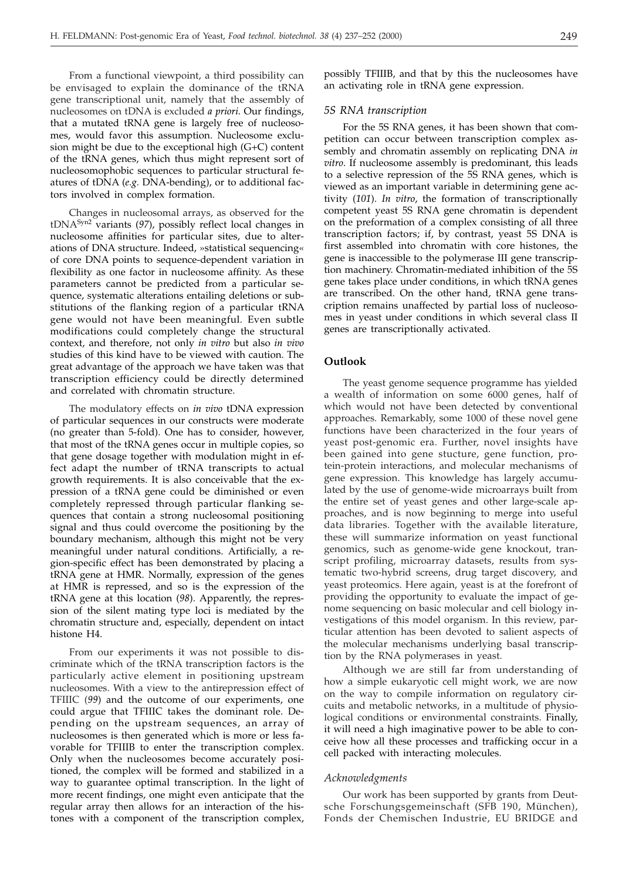From a functional viewpoint, a third possibility can be envisaged to explain the dominance of the tRNA gene transcriptional unit, namely that the assembly of nucleosomes on tDNA is excluded *a priori*. Our findings, that a mutated tRNA gene is largely free of nucleosomes, would favor this assumption. Nucleosome exclusion might be due to the exceptional high (G+C) content of the tRNA genes, which thus might represent sort of nucleosomophobic sequences to particular structural features of tDNA (*e.g.* DNA-bending), or to additional factors involved in complex formation.

Changes in nucleosomal arrays, as observed for the tDNASyn2 variants (*97*), possibly reflect local changes in nucleosome affinities for particular sites, due to alterations of DNA structure. Indeed, »statistical sequencing« of core DNA points to sequence-dependent variation in flexibility as one factor in nucleosome affinity. As these parameters cannot be predicted from a particular sequence, systematic alterations entailing deletions or substitutions of the flanking region of a particular tRNA gene would not have been meaningful. Even subtle modifications could completely change the structural context, and therefore, not only *in vitro* but also *in vivo* studies of this kind have to be viewed with caution. The great advantage of the approach we have taken was that transcription efficiency could be directly determined and correlated with chromatin structure.

The modulatory effects on *in vivo* tDNA expression of particular sequences in our constructs were moderate (no greater than 5-fold). One has to consider, however, that most of the tRNA genes occur in multiple copies, so that gene dosage together with modulation might in effect adapt the number of tRNA transcripts to actual growth requirements. It is also conceivable that the expression of a tRNA gene could be diminished or even completely repressed through particular flanking sequences that contain a strong nucleosomal positioning signal and thus could overcome the positioning by the boundary mechanism, although this might not be very meaningful under natural conditions. Artificially, a region-specific effect has been demonstrated by placing a tRNA gene at HMR. Normally, expression of the genes at HMR is repressed, and so is the expression of the tRNA gene at this location (*98*). Apparently, the repression of the silent mating type loci is mediated by the chromatin structure and, especially, dependent on intact histone H4.

From our experiments it was not possible to discriminate which of the tRNA transcription factors is the particularly active element in positioning upstream nucleosomes. With a view to the antirepression effect of TFIIIC (*99*) and the outcome of our experiments, one could argue that TFIIIC takes the dominant role. Depending on the upstream sequences, an array of nucleosomes is then generated which is more or less favorable for TFIIIB to enter the transcription complex. Only when the nucleosomes become accurately positioned, the complex will be formed and stabilized in a way to guarantee optimal transcription. In the light of more recent findings, one might even anticipate that the regular array then allows for an interaction of the histones with a component of the transcription complex,

possibly TFIIIB, and that by this the nucleosomes have an activating role in tRNA gene expression.

#### *5S RNA transcription*

For the 5S RNA genes, it has been shown that competition can occur between transcription complex assembly and chromatin assembly on replicating DNA *in vitro*. If nucleosome assembly is predominant, this leads to a selective repression of the 5S RNA genes, which is viewed as an important variable in determining gene activity (*101*). *In vitro*, the formation of transcriptionally competent yeast 5S RNA gene chromatin is dependent on the preformation of a complex consisting of all three transcription factors; if, by contrast, yeast 5S DNA is first assembled into chromatin with core histones, the gene is inaccessible to the polymerase III gene transcription machinery. Chromatin-mediated inhibition of the 5S gene takes place under conditions, in which tRNA genes are transcribed. On the other hand, tRNA gene transcription remains unaffected by partial loss of nucleosomes in yeast under conditions in which several class II genes are transcriptionally activated.

# **Outlook**

The yeast genome sequence programme has yielded a wealth of information on some 6000 genes, half of which would not have been detected by conventional approaches. Remarkably, some 1000 of these novel gene functions have been characterized in the four years of yeast post-genomic era. Further, novel insights have been gained into gene stucture, gene function, protein-protein interactions, and molecular mechanisms of gene expression. This knowledge has largely accumulated by the use of genome-wide microarrays built from the entire set of yeast genes and other large-scale approaches, and is now beginning to merge into useful data libraries. Together with the available literature, these will summarize information on yeast functional genomics, such as genome-wide gene knockout, transcript profiling, microarray datasets, results from systematic two-hybrid screens, drug target discovery, and yeast proteomics. Here again, yeast is at the forefront of providing the opportunity to evaluate the impact of genome sequencing on basic molecular and cell biology investigations of this model organism. In this review, particular attention has been devoted to salient aspects of the molecular mechanisms underlying basal transcription by the RNA polymerases in yeast.

Although we are still far from understanding of how a simple eukaryotic cell might work, we are now on the way to compile information on regulatory circuits and metabolic networks, in a multitude of physiological conditions or environmental constraints. Finally, it will need a high imaginative power to be able to conceive how all these processes and trafficking occur in a cell packed with interacting molecules.

#### *Acknowledgments*

Our work has been supported by grants from Deutsche Forschungsgemeinschaft (SFB 190, München), Fonds der Chemischen Industrie, EU BRIDGE and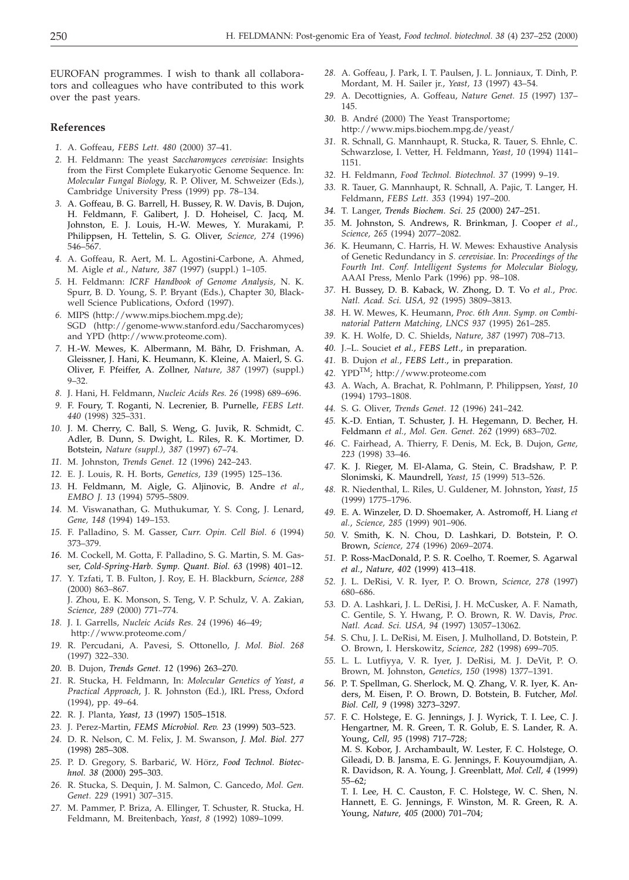EUROFAN programmes. I wish to thank all collaborators and colleagues who have contributed to this work over the past years.

#### **References**

- *1.* A. Goffeau, *FEBS Lett. 480* (2000) 37–41.
- *2.* H. Feldmann: The yeast *Saccharomyces cerevisiae*: Insights from the First Complete Eukaryotic Genome Sequence. In: *Molecular Fungal Biology,* R. P. Oliver, M. Schweizer (Eds.), Cambridge University Press (1999) pp. 78–134.
- *3.* A. Goffeau, B. G. Barrell, H. Bussey, R. W. Davis, B. Dujon, H. Feldmann, F. Galibert, J. D. Hoheisel, C. Jacq, M. Johnston, E. J. Louis, H.-W. Mewes, Y. Murakami, P. Philippsen, H. Tettelin, S. G. Oliver, *Science, 274* (1996) 546–567.
- *4.* A. Goffeau, R. Aert, M. L. Agostini-Carbone, A. Ahmed, M. Aigle *et al.*, *Nature, 387* (1997) (suppl.) 1–105.
- *5.* H. Feldmann: *ICRF Handbook of Genome Analysis,* N. K. Spurr, B. D. Young, S. P. Bryant (Eds.), Chapter 30, Blackwell Science Publications, Oxford (1997).
- *6.* MIPS (http://www.mips.biochem.mpg.de); SGD (http://genome-www.stanford.edu/Saccharomyces) and YPD (http://www.proteome.com).
- *7.* H.-W. Mewes, K. Albermann, M. Bähr, D. Frishman, A. Gleissner, J. Hani, K. Heumann, K. Kleine, A. Maierl, S. G. Oliver, F. Pfeiffer, A. Zollner, *Nature, 387* (1997) (suppl.) 9–32.
- *8.* J. Hani, H. Feldmann, *Nucleic Acids Res. 26* (1998) 689–696.
- *9.* F. Foury, T. Roganti, N. Lecrenier, B. Purnelle, *FEBS Lett. 440* (1998) 325–331.
- *10.* J. M. Cherry, C. Ball, S. Weng, G. Juvik, R. Schmidt, C. Adler, B. Dunn, S. Dwight, L. Riles, R. K. Mortimer, D. Botstein, *Nature (suppl.), 387* (1997) 67–74.
- *11.* M. Johnston, *Trends Genet. 12* (1996) 242–243.
- *12.* E. J. Louis, R. H. Borts, *Genetics, 139* (1995) 125–136.
- *13.* H. Feldmann, M. Aigle, G. Aljinovic, B. Andre *et al*., *EMBO J. 13* (1994) 5795–5809.
- *14.* M. Viswanathan, G. Muthukumar, Y. S. Cong, J. Lenard, *Gene, 148* (1994) 149–153.
- *15.* F. Palladino, S. M. Gasser, *Curr. Opin. Cell Biol. 6* (1994) 373–379.
- *16.* M. Cockell, M. Gotta, F. Palladino, S. G. Martin, S. M. Gasser, *Cold-Spring-Harb. Symp. Quant. Biol. 63* (1998) 401–12.
- *17.* Y. Tzfati, T. B. Fulton, J. Roy, E. H. Blackburn, *Science, 288* (2000) 863–867. J. Zhou, E. K. Monson, S. Teng, V. P. Schulz, V. A. Zakian, *Science, 289* (2000) 771–774.
- *18.* J. I. Garrells, *Nucleic Acids Res. 24* (1996) 46–49; http://www.proteome.com/
- *19.* R. Percudani, A. Pavesi, S. Ottonello, *J. Mol. Biol. 268* (1997) 322–330.
- *20.* B. Dujon, *Trends Genet. 12* (1996) 263–270.
- *21.* R. Stucka, H. Feldmann, In: *Molecular Genetics of Yeast, a Practical Approach*, J. R. Johnston (Ed.), IRL Press, Oxford (1994), pp. 49–64.
- *22.* R. J. Planta, *Yeast, 13* (1997) 1505–1518.
- *23.* J. Perez-Martin, *FEMS Microbiol. Rev. 23* (1999) 503–523.
- *24.* D. R. Nelson, C. M. Felix, J. M. Swanson, *J. Mol. Biol. 277* (1998) 285–308.
- 25. P. D. Gregory, S. Barbarić, W. Hörz, Food Technol. Biotec*hnol. 38* (2000) 295–303.
- *26.* R. Stucka, S. Dequin, J. M. Salmon, C. Gancedo, *Mol. Gen. Genet. 229* (1991) 307–315.
- *27.* M. Pammer, P. Briza, A. Ellinger, T. Schuster, R. Stucka, H. Feldmann, M. Breitenbach, *Yeast, 8* (1992) 1089–1099.
- *28.* A. Goffeau, J. Park, I. T. Paulsen, J. L. Jonniaux, T. Dinh, P. Mordant, M. H. Sailer jr., *Yeast, 13* (1997) 43–54.
- *29.* A. Decottignies, A. Goffeau, *Nature Genet. 15* (1997) 137– 145.
- *30.* B. André (2000) The Yeast Transportome; http://www.mips.biochem.mpg.de/yeast/
- *31.* R. Schnall, G. Mannhaupt, R. Stucka, R. Tauer, S. Ehnle, C. Schwarzlose, I. Vetter, H. Feldmann, *Yeast, 10* (1994) 1141– 1151.
- *32.* H. Feldmann, *Food Technol. Biotechnol. 37* (1999) 9–19.
- *33.* R. Tauer, G. Mannhaupt, R. Schnall, A. Pajic, T. Langer, H. Feldmann, *FEBS Lett. 353* (1994) 197–200.
- *34.* T. Langer, *Trends Biochem. Sci. 25* (2000) 247–251.
- *35.* M. Johnston, S. Andrews, R. Brinkman, J. Cooper *et al.*, *Science, 265* (1994) 2077–2082.
- *36.* K. Heumann, C. Harris, H. W. Mewes: Exhaustive Analysis of Genetic Redundancy in *S. cerevisiae*. In: *Proceedings of the Fourth Int. Conf. Intelligent Systems for Molecular Biology*, AAAI Press, Menlo Park (1996) pp. 98–108.
- *37.* H. Bussey, D. B. Kaback, W. Zhong, D. T. Vo *et al.*, *Proc. Natl. Acad. Sci. USA, 92* (1995) 3809–3813.
- *38.* H. W. Mewes, K. Heumann, *Proc. 6th Ann. Symp. on Combinatorial Pattern Matching, LNCS 937* (1995) 261–285.
- *39.* K. H. Wolfe, D. C. Shields, *Nature, 387* (1997) 708–713.
- *40.* J.–L. Souciet *et al.*, *FEBS Lett*., in preparation.
- *41.* B. Dujon *et al.*, *FEBS Lett*., in preparation.
- *42.* YPDTM; http://www.proteome.com
- *43.* A. Wach, A. Brachat, R. Pohlmann, P. Philippsen, *Yeast, 10* (1994) 1793–1808.
- *44.* S. G. Oliver, *Trends Genet. 12* (1996) 241–242.
- *45.* K.-D. Entian, T. Schuster, J. H. Hegemann, D. Becher, H. Feldmann *et al.*, *Mol. Gen. Genet. 262* (1999) 683–702.
- *46.* C. Fairhead, A. Thierry, F. Denis, M. Eck, B. Dujon, *Gene, 223* (1998) 33–46.
- *47.* K. J. Rieger, M. El-Alama, G. Stein, C. Bradshaw, P. P. Slonimski, K. Maundrell, *Yeast, 15* (1999) 513–526.
- *48.* R. Niedenthal, L. Riles, U. Guldener, M. Johnston, *Yeast, 15* (1999) 1775–1796.
- *49.* E. A. Winzeler, D. D. Shoemaker, A. Astromoff, H. Liang *et al.*, *Science, 285* (1999) 901–906.
- *50.* V. Smith, K. N. Chou, D. Lashkari, D. Botstein, P. O. Brown, *Science, 274* (1996) 2069–2074.
- *51.* P. Ross-MacDonald, P. S. R. Coelho, T. Roemer, S. Agarwal *et al.*, *Nature, 402* (1999) 413–418.
- *52.* J. L. DeRisi, V. R. Iyer, P. O. Brown, *Science, 278* (1997) 680–686.
- *53.* D. A. Lashkari, J. L. DeRisi, J. H. McCusker, A. F. Namath, C. Gentile, S. Y. Hwang, P. O. Brown, R. W. Davis, *Proc. Natl. Acad. Sci. USA, 94* (1997) 13057–13062.
- *54.* S. Chu, J. L. DeRisi, M. Eisen, J. Mulholland, D. Botstein, P. O. Brown, I. Herskowitz, *Science, 282* (1998) 699–705.
- *55.* L. L. Lutfiyya, V. R. Iyer, J. DeRisi, M. J. DeVit, P. O. Brown, M. Johnston, *Genetics, 150* (1998) 1377–1391.
- *56.* P. T. Spellman, G. Sherlock, M. Q. Zhang, V. R. Iyer, K. Anders, M. Eisen, P. O. Brown, D. Botstein, B. Futcher, *Mol. Biol. Cell, 9* (1998) 3273–3297.
- *57.* F. C. Holstege, E. G. Jennings, J. J. Wyrick, T. I. Lee, C. J. Hengartner, M. R. Green, T. R. Golub, E. S. Lander, R. A. Young, *Cell, 95* (1998) 717–728; M. S. Kobor, J. Archambault, W. Lester, F. C. Holstege, O. Gileadi, D. B. Jansma, E. G. Jennings, F. Kouyoumdjian, A. R. Davidson, R. A. Young, J. Greenblatt, *Mol. Cell, 4* (1999)
	- 55–62; T. I. Lee, H. C. Causton, F. C. Holstege, W. C. Shen, N. Hannett, E. G. Jennings, F. Winston, M. R. Green, R. A. Young, *Nature, 405* (2000) 701–704;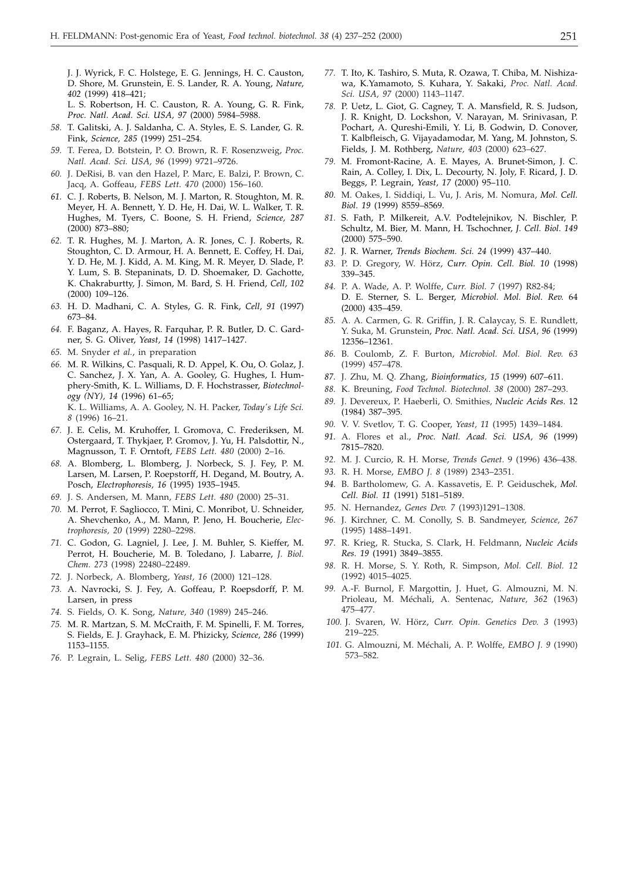J. J. Wyrick, F. C. Holstege, E. G. Jennings, H. C. Causton, D. Shore, M. Grunstein, E. S. Lander, R. A. Young, *Nature, 402* (1999) 418–421;

L. S. Robertson, H. C. Causton, R. A. Young, G. R. Fink, *Proc. Natl. Acad. Sci. USA, 97* (2000) 5984–5988.

- *58.* T. Galitski, A. J. Saldanha, C. A. Styles, E. S. Lander, G. R. Fink, *Science, 285* (1999) 251–254.
- *59.* T. Ferea, D. Botstein, P. O. Brown, R. F. Rosenzweig, *Proc. Natl. Acad. Sci. USA, 96* (1999) 9721–9726.
- *60.* J. DeRisi, B. van den Hazel, P. Marc, E. Balzi, P. Brown, C. Jacq, A. Goffeau, *FEBS Lett. 470* (2000) 156–160.
- *61.* C. J. Roberts, B. Nelson, M. J. Marton, R. Stoughton, M. R. Meyer, H. A. Bennett, Y. D. He, H. Dai, W. L. Walker, T. R. Hughes, M. Tyers, C. Boone, S. H. Friend, *Science, 287* (2000) 873–880;
- *62.* T. R. Hughes, M. J. Marton, A. R. Jones, C. J. Roberts, R. Stoughton, C. D. Armour, H. A. Bennett, E. Coffey, H. Dai, Y. D. He, M. J. Kidd, A. M. King, M. R. Meyer, D. Slade, P. Y. Lum, S. B. Stepaninats, D. D. Shoemaker, D. Gachotte, K. Chakraburtty, J. Simon, M. Bard, S. H. Friend, *Cell, 102* (2000) 109–126.
- *63.* H. D. Madhani, C. A. Styles, G. R. Fink, *Cell, 91* (1997) 673–84.
- *64.* F. Baganz, A. Hayes, R. Farquhar, P. R. Butler, D. C. Gardner, S. G. Oliver, *Yeast, 14* (1998) 1417–1427.
- *65.* M. Snyder *et al.*, in preparation
- *66.* M. R. Wilkins, C. Pasquali, R. D. Appel, K. Ou, O. Golaz, J. C. Sanchez, J. X. Yan, A. A. Gooley, G. Hughes, I. Humphery-Smith, K. L. Williams, D. F. Hochstrasser, *Biotechnology (NY), 14* (1996) 61–65; K. L. Williams, A. A. Gooley, N. H. Packer, *Today's Life Sci. 8* (1996) 16–21.
- *67.* J. E. Celis, M. Kruhoffer, I. Gromova, C. Frederiksen, M. Ostergaard, T. Thykjaer, P. Gromov, J. Yu, H. Palsdottir, N., Magnusson, T. F. Orntoft, *FEBS Lett. 480* (2000) 2–16.
- *68.* A. Blomberg, L. Blomberg, J. Norbeck, S. J. Fey, P. M. Larsen, M. Larsen, P. Roepstorff, H. Degand, M. Boutry, A. Posch, *Electrophoresis, 16* (1995) 1935–1945.
- *69.* J. S. Andersen, M. Mann, *FEBS Lett. 480* (2000) 25–31.
- *70.* M. Perrot, F. Sagliocco, T. Mini, C. Monribot, U. Schneider, A. Shevchenko, A., M. Mann, P. Jeno, H. Boucherie, *Electrophoresis, 20* (1999) 2280–2298.
- *71.* C. Godon, G. Lagniel, J. Lee, J. M. Buhler, S. Kieffer, M. Perrot, H. Boucherie, M. B. Toledano, J. Labarre, *J. Biol. Chem. 273* (1998) 22480–22489.
- *72.* J. Norbeck, A. Blomberg, *Yeast, 16* (2000) 121–128.
- *73.* A. Navrocki, S. J. Fey, A. Goffeau, P. Roepsdorff, P. M. Larsen, in press
- *74.* S. Fields, O. K. Song, *Nature, 340* (1989) 245–246.
- *75.* M. R. Martzan, S. M. McCraith, F. M. Spinelli, F. M. Torres, S. Fields, E. J. Grayhack, E. M. Phizicky, *Science, 286* (1999) 1153–1155.
- *76.* P. Legrain, L. Selig, *FEBS Lett. 480* (2000) 32–36.
- *77.* T. Ito, K. Tashiro, S. Muta, R. Ozawa, T. Chiba, M. Nishizawa, K.Yamamoto, S. Kuhara, Y. Sakaki, *Proc. Natl. Acad. Sci. USA, 97* (2000) 1143–1147.
- *78.* P. Uetz, L. Giot, G. Cagney, T. A. Mansfield, R. S. Judson, J. R. Knight, D. Lockshon, V. Narayan, M. Srinivasan, P. Pochart, A. Qureshi-Emili, Y. Li, B. Godwin, D. Conover, T. Kalbfleisch, G. Vijayadamodar, M. Yang, M. Johnston, S. Fields, J. M. Rothberg, *Nature, 403* (2000) 623–627.
- *79.* M. Fromont-Racine, A. E. Mayes, A. Brunet-Simon, J. C. Rain, A. Colley, I. Dix, L. Decourty, N. Joly, F. Ricard, J. D. Beggs, P. Legrain, *Yeast, 17* (2000) 95–110.
- *80.* M. Oakes, I. Siddiqi, L. Vu, J. Aris, M. Nomura, *Mol. Cell. Biol. 19* (1999) 8559–8569.
- *81.* S. Fath, P. Milkereit, A.V. Podtelejnikov, N. Bischler, P. Schultz, M. Bier, M. Mann, H. Tschochner, *J. Cell. Biol. 149* (2000) 575–590.
- *82.* J. R. Warner, *Trends Biochem. Sci. 24* (1999) 437–440.
- *83.* P. D. Gregory, W. Hörz, *Curr. Opin. Cell. Biol. 10* (1998) 339–345.
- *84.* P. A. Wade, A. P. Wolffe, *Curr. Biol. 7* (1997) R82-84; D. E. Sterner, S. L. Berger, *Microbiol. Mol. Biol. Rev.* 64 (2000) 435–459.
- *85.* A. A. Carmen, G. R. Griffin, J. R. Calaycay, S. E. Rundlett, Y. Suka, M. Grunstein*, Proc. Natl. Acad. Sci. USA, 96* (1999) 12356–12361.
- *86.* B. Coulomb, Z. F. Burton, *Microbiol. Mol. Biol. Rev. 63* (1999) 457–478.
- *87.* J. Zhu, M. Q. Zhang, *Bioinformatics, 15* (1999) 607–611.
- *88.* K. Breuning, *Food Technol. Biotechnol. 38* (2000) 287–293.
- *89.* J. Devereux, P. Haeberli, O. Smithies, *Nucleic Acids Res.* 12 (1984) 387–395.
- *90.* V. V. Svetlov, T. G. Cooper, *Yeast, 11* (1995) 1439–1484.
- *91.* A. Flores et al., *Proc. Natl. Acad. Sci. USA, 96* (1999) 7815–7820.
- *92.* M. J. Curcio, R. H. Morse, *Trends Genet.* 9 (1996) 436–438.
- *93.* R. H. Morse, *EMBO J. 8* (1989) 2343–2351.
- *94.* B. Bartholomew, G. A. Kassavetis, E. P. Geiduschek, *Mol. Cell. Biol. 11* (1991) 5181–5189.
- *95.* N. Hernandez, *Genes Dev. 7* (1993)1291–1308.
- *96.* J. Kirchner, C. M. Conolly, S. B. Sandmeyer, *Science, 267* (1995) 1488–1491.
- *97.* R. Krieg, R. Stucka, S. Clark, H. Feldmann, *Nucleic Acids Res. 19* (1991) 3849–3855.
- *98.* R. H. Morse, S. Y. Roth, R. Simpson, *Mol. Cell. Biol. 12* (1992) 4015–4025.
- *99.* A.-F. Burnol, F. Margottin, J. Huet, G. Almouzni, M. N. Prioleau, M. Méchali, A. Sentenac, *Nature, 362* (1963) 475–477.
- *100.* J. Svaren, W. Hörz, *Curr. Opin. Genetics Dev. 3* (1993) 219–225.
- *101.* G. Almouzni, M. Méchali, A. P. Wolffe, *EMBO J. 9* (1990) 573–582.